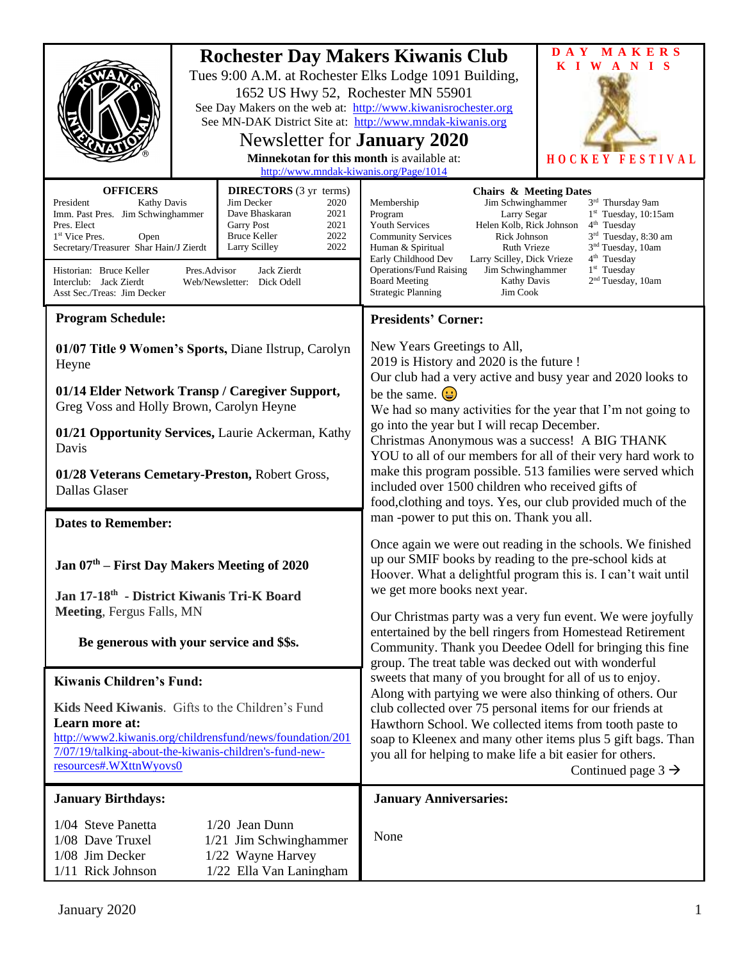|                                                                                                                                                                                                                                                                                                                                                                                                                                                                                                               | 1652 US Hwy 52, Rochester MN 55901<br>Newsletter for <b>January 2020</b><br>Minnekotan for this month is available at:<br>http://www.mndak-kiwanis.org/Page/1014 | MAKERS<br>D A Y<br><b>Rochester Day Makers Kiwanis Club</b><br>KIWANIS<br>Tues 9:00 A.M. at Rochester Elks Lodge 1091 Building,<br>See Day Makers on the web at: http://www.kiwanisrochester.org<br>See MN-DAK District Site at: http://www.mndak-kiwanis.org<br>HOCKEY FESTIVAL                                                                                                                                                                                                                                                                                                                                                                            |  |
|---------------------------------------------------------------------------------------------------------------------------------------------------------------------------------------------------------------------------------------------------------------------------------------------------------------------------------------------------------------------------------------------------------------------------------------------------------------------------------------------------------------|------------------------------------------------------------------------------------------------------------------------------------------------------------------|-------------------------------------------------------------------------------------------------------------------------------------------------------------------------------------------------------------------------------------------------------------------------------------------------------------------------------------------------------------------------------------------------------------------------------------------------------------------------------------------------------------------------------------------------------------------------------------------------------------------------------------------------------------|--|
| <b>OFFICERS</b><br><b>DIRECTORS</b> (3 yr terms)<br>Jim Decker<br>President<br><b>Kathy Davis</b><br>2020<br>Imm. Past Pres. Jim Schwinghammer<br>Dave Bhaskaran<br>2021<br>2021<br>Pres. Elect<br><b>Garry Post</b><br>2022<br><b>Bruce Keller</b><br>1 <sup>st</sup> Vice Pres.<br>Open<br>2022<br>Secretary/Treasurer Shar Hain/J Zierdt<br>Larry Scilley<br>Pres.Advisor<br>Jack Zierdt<br>Historian: Bruce Keller<br>Interclub: Jack Zierdt<br>Web/Newsletter: Dick Odell<br>Asst Sec./Treas: Jim Decker |                                                                                                                                                                  | <b>Chairs &amp; Meeting Dates</b><br>Jim Schwinghammer<br>Membership<br>3rd Thursday 9am<br>$1st$ Tuesday, 10:15am<br>Program<br>Larry Segar<br>Helen Kolb, Rick Johnson<br>$4th$ Tuesday<br><b>Youth Services</b><br>Rick Johnson<br>3 <sup>rd</sup> Tuesday, 8:30 am<br><b>Community Services</b><br>3 <sup>nd</sup> Tuesday, 10am<br>Ruth Vrieze<br>Human & Spiritual<br>4 <sup>th</sup> Tuesday<br>Early Childhood Dev<br>Larry Scilley, Dick Vrieze<br>1 <sup>st</sup> Tuesday<br><b>Operations/Fund Raising</b><br>Jim Schwinghammer<br>2 <sup>nd</sup> Tuesday, 10am<br><b>Board Meeting</b><br>Kathy Davis<br><b>Strategic Planning</b><br>Jim Cook |  |
| <b>Program Schedule:</b>                                                                                                                                                                                                                                                                                                                                                                                                                                                                                      |                                                                                                                                                                  | <b>Presidents' Corner:</b>                                                                                                                                                                                                                                                                                                                                                                                                                                                                                                                                                                                                                                  |  |
| 01/07 Title 9 Women's Sports, Diane Ilstrup, Carolyn<br>Heyne<br>01/14 Elder Network Transp / Caregiver Support,<br>Greg Voss and Holly Brown, Carolyn Heyne                                                                                                                                                                                                                                                                                                                                                  |                                                                                                                                                                  | New Years Greetings to All,<br>2019 is History and 2020 is the future !<br>Our club had a very active and busy year and 2020 looks to<br>be the same. $\left(\frac{1}{2}\right)$<br>We had so many activities for the year that I'm not going to                                                                                                                                                                                                                                                                                                                                                                                                            |  |
| 01/21 Opportunity Services, Laurie Ackerman, Kathy                                                                                                                                                                                                                                                                                                                                                                                                                                                            |                                                                                                                                                                  | go into the year but I will recap December.<br>Christmas Anonymous was a success! A BIG THANK<br>YOU to all of our members for all of their very hard work to<br>make this program possible. 513 families were served which<br>included over 1500 children who received gifts of<br>food, clothing and toys. Yes, our club provided much of the                                                                                                                                                                                                                                                                                                             |  |
| Davis<br>01/28 Veterans Cemetary-Preston, Robert Gross,<br>Dallas Glaser                                                                                                                                                                                                                                                                                                                                                                                                                                      |                                                                                                                                                                  |                                                                                                                                                                                                                                                                                                                                                                                                                                                                                                                                                                                                                                                             |  |
| <b>Dates to Remember:</b>                                                                                                                                                                                                                                                                                                                                                                                                                                                                                     |                                                                                                                                                                  | man -power to put this on. Thank you all.                                                                                                                                                                                                                                                                                                                                                                                                                                                                                                                                                                                                                   |  |
| Jan 07 <sup>th</sup> – First Day Makers Meeting of 2020<br>Jan 17-18th - District Kiwanis Tri-K Board                                                                                                                                                                                                                                                                                                                                                                                                         |                                                                                                                                                                  | Once again we were out reading in the schools. We finished<br>up our SMIF books by reading to the pre-school kids at<br>Hoover. What a delightful program this is. I can't wait until<br>we get more books next year.                                                                                                                                                                                                                                                                                                                                                                                                                                       |  |
| Meeting, Fergus Falls, MN                                                                                                                                                                                                                                                                                                                                                                                                                                                                                     |                                                                                                                                                                  | Our Christmas party was a very fun event. We were joyfully                                                                                                                                                                                                                                                                                                                                                                                                                                                                                                                                                                                                  |  |
| Be generous with your service and \$\$s.                                                                                                                                                                                                                                                                                                                                                                                                                                                                      |                                                                                                                                                                  | entertained by the bell ringers from Homestead Retirement<br>Community. Thank you Deedee Odell for bringing this fine<br>group. The treat table was decked out with wonderful<br>sweets that many of you brought for all of us to enjoy.                                                                                                                                                                                                                                                                                                                                                                                                                    |  |
| <b>Kiwanis Children's Fund:</b>                                                                                                                                                                                                                                                                                                                                                                                                                                                                               |                                                                                                                                                                  |                                                                                                                                                                                                                                                                                                                                                                                                                                                                                                                                                                                                                                                             |  |
| Kids Need Kiwanis. Gifts to the Children's Fund<br>Learn more at:<br>http://www2.kiwanis.org/childrensfund/news/foundation/201<br>7/07/19/talking-about-the-kiwanis-children's-fund-new-<br>resources#.WXttnWyovs0                                                                                                                                                                                                                                                                                            |                                                                                                                                                                  | Along with partying we were also thinking of others. Our<br>club collected over 75 personal items for our friends at<br>Hawthorn School. We collected items from tooth paste to<br>soap to Kleenex and many other items plus 5 gift bags. Than<br>you all for helping to make life a bit easier for others.<br>Continued page $3 \rightarrow$                                                                                                                                                                                                                                                                                                               |  |
| <b>January Birthdays:</b>                                                                                                                                                                                                                                                                                                                                                                                                                                                                                     |                                                                                                                                                                  | <b>January Anniversaries:</b>                                                                                                                                                                                                                                                                                                                                                                                                                                                                                                                                                                                                                               |  |
| 1/04 Steve Panetta<br>$1/20$ Jean Dunn<br>1/08 Dave Truxel<br>1/21 Jim Schwinghammer<br>1/08 Jim Decker<br>1/22 Wayne Harvey<br>1/22 Ella Van Laningham<br>1/11 Rick Johnson                                                                                                                                                                                                                                                                                                                                  |                                                                                                                                                                  | None                                                                                                                                                                                                                                                                                                                                                                                                                                                                                                                                                                                                                                                        |  |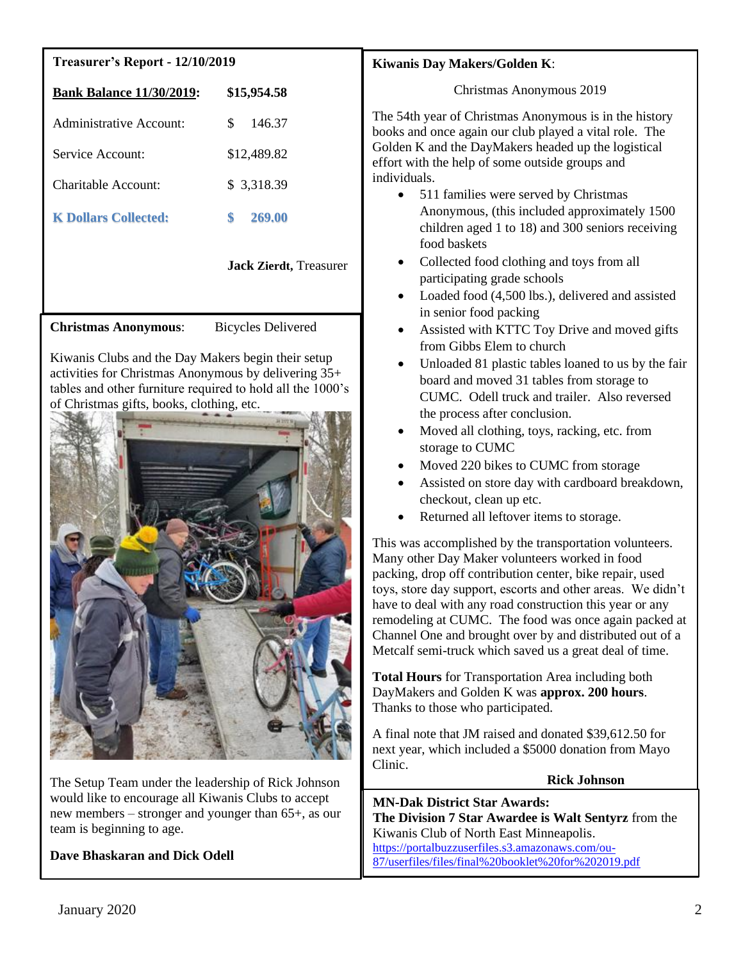## **Treasurer's Report - 12/10/2019**

| <b>Bank Balance 11/30/2019:</b> | \$15,954.58  |
|---------------------------------|--------------|
| Administrative Account:         | S<br>146.37  |
| Service Account:                | \$12,489.82  |
| Charitable Account:             | \$ 3,318.39  |
| <b>K Dollars Collected:</b>     | 269.00<br>\$ |

**Jack Zierdt,** Treasurer

**Christmas Anonymous**: Bicycles Delivered

Kiwanis Clubs and the Day Makers begin their setup activities for Christmas Anonymous by delivering 35+ tables and other furniture required to hold all the 1000's of Christmas gifts, books, clothing, etc.



The Setup Team under the leadership of Rick Johnson would like to encourage all Kiwanis Clubs to accept new members – stronger and younger than 65+, as our team is beginning to age.

**Dave Bhaskaran and Dick Odell**

## **Kiwanis Day Makers/Golden K**:

Christmas Anonymous 2019

The 54th year of Christmas Anonymous is in the history books and once again our club played a vital role. The Golden K and the DayMakers headed up the logistical effort with the help of some outside groups and individuals.

- 511 families were served by Christmas Anonymous, (this included approximately 1500 children aged 1 to 18) and 300 seniors receiving food baskets
- Collected food clothing and toys from all participating grade schools
- Loaded food (4,500 lbs.), delivered and assisted in senior food packing
- Assisted with KTTC Toy Drive and moved gifts from Gibbs Elem to church
- Unloaded 81 plastic tables loaned to us by the fair board and moved 31 tables from storage to CUMC. Odell truck and trailer. Also reversed the process after conclusion.
- Moved all clothing, toys, racking, etc. from storage to CUMC
- Moved 220 bikes to CUMC from storage
- Assisted on store day with cardboard breakdown, checkout, clean up etc.
- Returned all leftover items to storage.

This was accomplished by the transportation volunteers. Many other Day Maker volunteers worked in food packing, drop off contribution center, bike repair, used toys, store day support, escorts and other areas. We didn't have to deal with any road construction this year or any remodeling at CUMC. The food was once again packed at Channel One and brought over by and distributed out of a Metcalf semi-truck which saved us a great deal of time.

**Total Hours** for Transportation Area including both DayMakers and Golden K was **approx. 200 hours**. Thanks to those who participated.

A final note that JM raised and donated \$39,612.50 for next year, which included a \$5000 donation from Mayo Clinic.

**Rick Johnson** 

 **MN-Dak District Star Awards: The Division 7 Star Awardee is Walt Sentyrz** from the Kiwanis Club of North East Minneapolis. [https://portalbuzzuserfiles.s3.amazonaws.com/ou-](https://portalbuzzuserfiles.s3.amazonaws.com/ou-87/userfiles/files/final%20booklet%20for%202019.pdf)[87/userfiles/files/final%20booklet%20for%202019.pdf](https://portalbuzzuserfiles.s3.amazonaws.com/ou-87/userfiles/files/final%20booklet%20for%202019.pdf)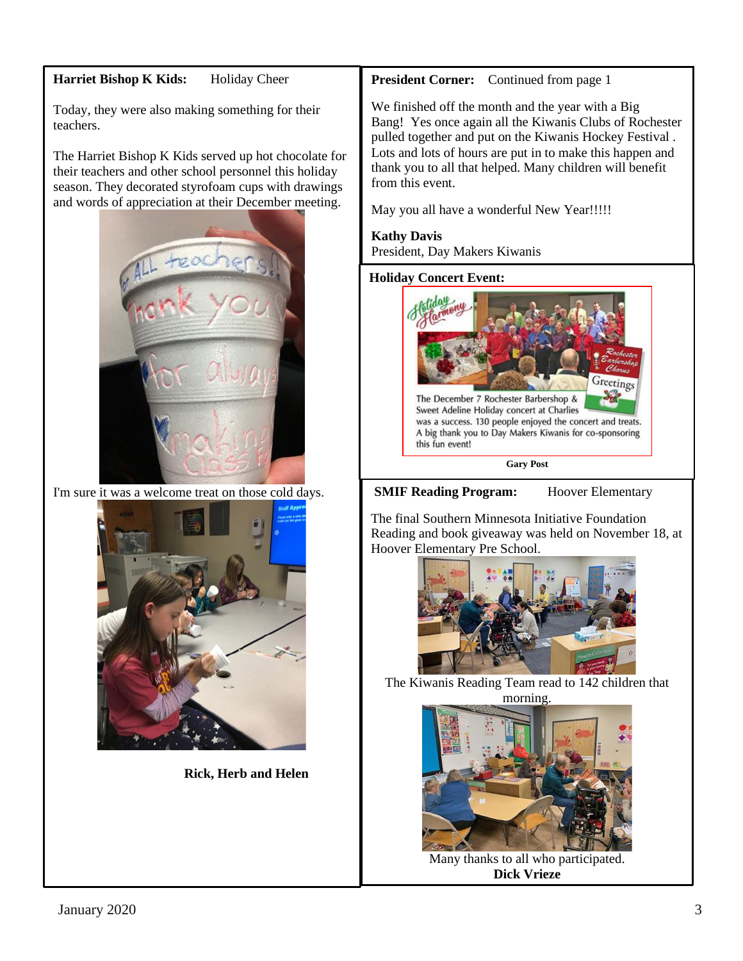## Harriet Bishop K Kids: Holiday Cheer

Today, they were also making something for their teachers.

The Harriet Bishop K Kids served up hot chocolate for their teachers and other school personnel this holiday season. They decorated styrofoam cups with drawings and words of appreciation at their December meeting.



I'm sure it was a welcome treat on those cold days.



 **Rick, Herb and Helen**

## **President Corner:** Continued from page 1

We finished off the month and the year with a Big Bang! Yes once again all the Kiwanis Clubs of Rochester pulled together and put on the Kiwanis Hockey Festival . Lots and lots of hours are put in to make this happen and thank you to all that helped. Many children will benefit from this event.

May you all have a wonderful New Year!!!!!

## **Kathy Davis**  President, Day Makers Kiwanis

#### **Holiday Concert Event:**



**SMIF Reading Program:** Hoover Elementary

The final Southern Minnesota Initiative Foundation Reading and book giveaway was held on November 18, at Hoover Elementary Pre School.



The Kiwanis Reading Team read to 142 children that morning.



Many thanks to all who participated. **Dick Vrieze**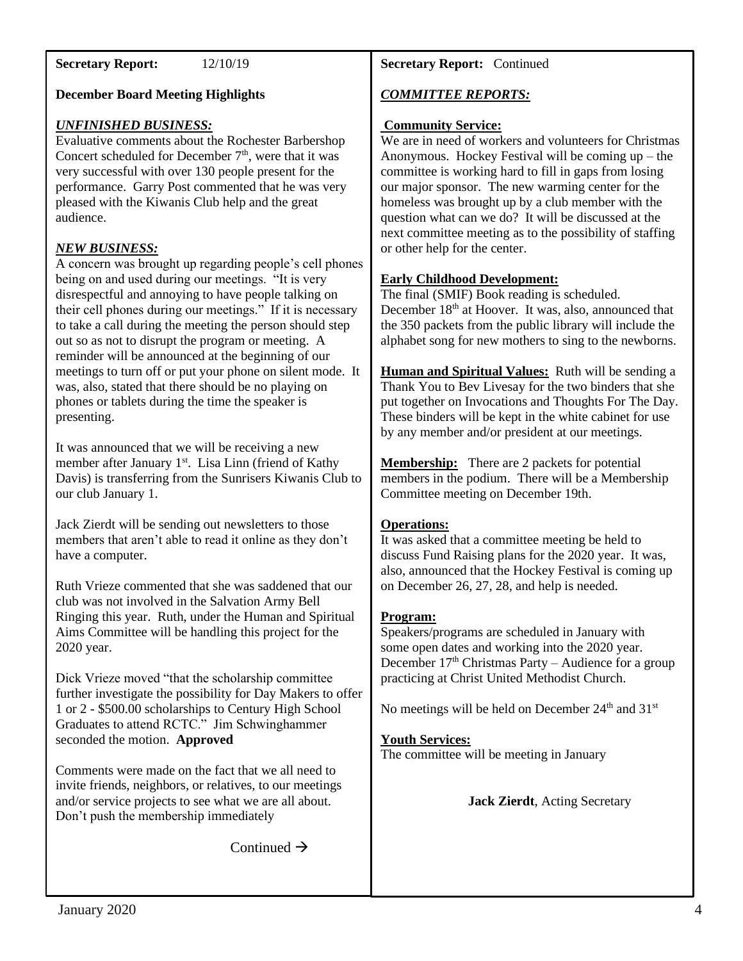#### January 2020 4

# **December Board Meeting Highlights** *UNFINISHED BUSINESS:* Evaluative comments about the Rochester Barbershop

**Secretary Report:** 12/10/19

Concert scheduled for December  $7<sup>th</sup>$ , were that it was very successful with over 130 people present for the performance. Garry Post commented that he was very pleased with the Kiwanis Club help and the great audience.

## *NEW BUSINESS:*

A concern was brought up regarding people's cell phones being on and used during our meetings. "It is very disrespectful and annoying to have people talking on their cell phones during our meetings." If it is necessary to take a call during the meeting the person should step out so as not to disrupt the program or meeting. A reminder will be announced at the beginning of our meetings to turn off or put your phone on silent mode. It was, also, stated that there should be no playing on phones or tablets during the time the speaker is presenting.

It was announced that we will be receiving a new member after January 1<sup>st</sup>. Lisa Linn (friend of Kathy Davis) is transferring from the Sunrisers Kiwanis Club to our club January 1.

Jack Zierdt will be sending out newsletters to those members that aren't able to read it online as they don't have a computer.

Ruth Vrieze commented that she was saddened that our club was not involved in the Salvation Army Bell Ringing this year. Ruth, under the Human and Spiritual Aims Committee will be handling this project for the 2020 year.

Dick Vrieze moved "that the scholarship committee further investigate the possibility for Day Makers to offer 1 or 2 - \$500.00 scholarships to Century High School Graduates to attend RCTC." Jim Schwinghammer seconded the motion. **Approved**

Comments were made on the fact that we all need to invite friends, neighbors, or relatives, to our meetings and/or service projects to see what we are all about. Don't push the membership immediately

Continued  $\rightarrow$ 

## **Secretary Report:** Continued

## *COMMITTEE REPORTS:*

## **Community Service:**

We are in need of workers and volunteers for Christmas Anonymous. Hockey Festival will be coming up – the committee is working hard to fill in gaps from losing our major sponsor. The new warming center for the homeless was brought up by a club member with the question what can we do? It will be discussed at the next committee meeting as to the possibility of staffing or other help for the center.

## **Early Childhood Development:**

The final (SMIF) Book reading is scheduled. December 18<sup>th</sup> at Hoover. It was, also, announced that the 350 packets from the public library will include the alphabet song for new mothers to sing to the newborns.

**Human and Spiritual Values:** Ruth will be sending a Thank You to Bev Livesay for the two binders that she put together on Invocations and Thoughts For The Day. These binders will be kept in the white cabinet for use by any member and/or president at our meetings.

**Membership:** There are 2 packets for potential members in the podium. There will be a Membership Committee meeting on December 19th.

## **Operations:**

It was asked that a committee meeting be held to discuss Fund Raising plans for the 2020 year. It was, also, announced that the Hockey Festival is coming up on December 26, 27, 28, and help is needed.

## **Program:**

Speakers/programs are scheduled in January with some open dates and working into the 2020 year. December  $17<sup>th</sup>$  Christmas Party – Audience for a group practicing at Christ United Methodist Church.

No meetings will be held on December 24<sup>th</sup> and 31<sup>st</sup>

## **Youth Services:**

The committee will be meeting in January

**Jack Zierdt**, Acting Secretary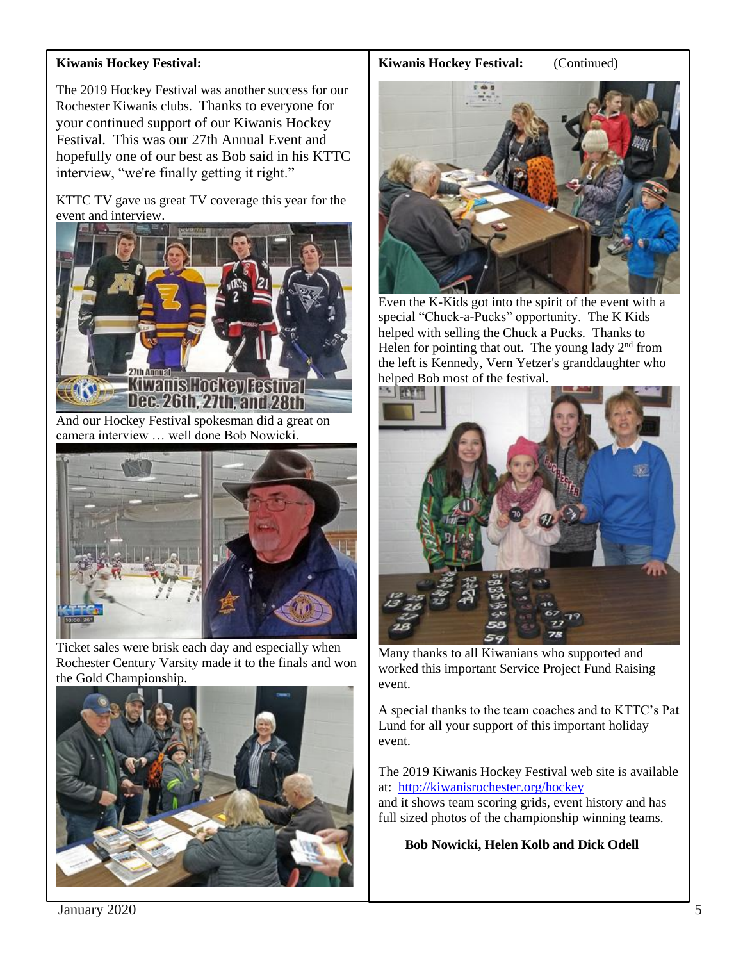## **Kiwanis Hockey Festival:**

The 2019 Hockey Festival was another success for our Rochester Kiwanis clubs. Thanks to everyone for your continued support of our Kiwanis Hockey Festival. This was our 27th Annual Event and hopefully one of our best as Bob said in his KTTC interview, "we're finally getting it right."

KTTC TV gave us great TV coverage this year for the event and interview.



And our Hockey Festival spokesman did a great on camera interview … well done Bob Nowicki.



Ticket sales were brisk each day and especially when Rochester Century Varsity made it to the finals and won the Gold Championship.



## **Kiwanis Hockey Festival:** (Continued)



Even the K-Kids got into the spirit of the event with a special "Chuck-a-Pucks" opportunity. The K Kids helped with selling the Chuck a Pucks. Thanks to Helen for pointing that out. The young lady  $2<sup>nd</sup>$  from the left is Kennedy, Vern Yetzer's granddaughter who helped Bob most of the festival.



Many thanks to all Kiwanians who supported and worked this important Service Project Fund Raising event.

A special thanks to the team coaches and to KTTC's Pat Lund for all your support of this important holiday event.

The 2019 Kiwanis Hockey Festival web site is available at: <http://kiwanisrochester.org/hockey>

and it shows team scoring grids, event history and has full sized photos of the championship winning teams.

 **Bob Nowicki, Helen Kolb and Dick Odell**

January 2020 5